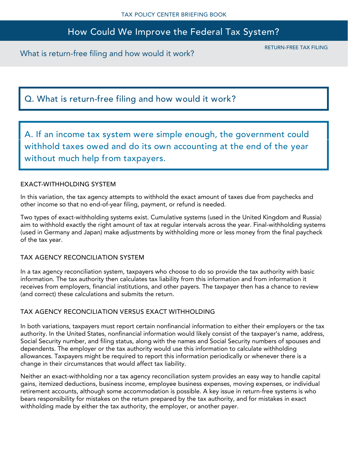# How Could We Improve the Federal Tax System?

## Q. What is return-free filing and how would it work?

A. If an income tax system were simple enough, the government could withhold taxes owed and do its own accounting at the end of the year without much help from taxpayers.

### EXACT-WITHHOLDING SYSTEM

In this variation, the tax agency attempts to withhold the exact amount of taxes due from paychecks and other income so that no end-of-year filing, payment, or refund is needed.

Two types of exact-withholding systems exist. Cumulative systems (used in the United Kingdom and Russia) aim to withhold exactly the right amount of tax at regular intervals across the year. Final-withholding systems (used in Germany and Japan) make adjustments by withholding more or less money from the final paycheck of the tax year.

#### TAX AGENCY RECONCILIATION SYSTEM

In a tax agency reconciliation system, taxpayers who choose to do so provide the tax authority with basic information. The tax authority then calculates tax liability from this information and from information it receives from employers, financial institutions, and other payers. The taxpayer then has a chance to review (and correct) these calculations and submits the return.

### TAX AGENCY RECONCILIATION VERSUS EXACT WITHHOLDING

In both variations, taxpayers must report certain nonfinancial information to either their employers or the tax authority. In the United States, nonfinancial information would likely consist of the taxpayer's name, address, Social Security number, and filing status, along with the names and Social Security numbers of spouses and dependents. The employer or the tax authority would use this information to calculate withholding allowances. Taxpayers might be required to report this information periodically or whenever there is a change in their circumstances that would affect tax liability.

Neither an exact-withholding nor a tax agency reconciliation system provides an easy way to handle capital gains, itemized deductions, business income, employee business expenses, moving expenses, or individual retirement accounts, although some accommodation is possible. A key issue in return-free systems is who bears responsibility for mistakes on the return prepared by the tax authority, and for mistakes in exact withholding made by either the tax authority, the employer, or another payer.

RETURN-FREE TAX FILING